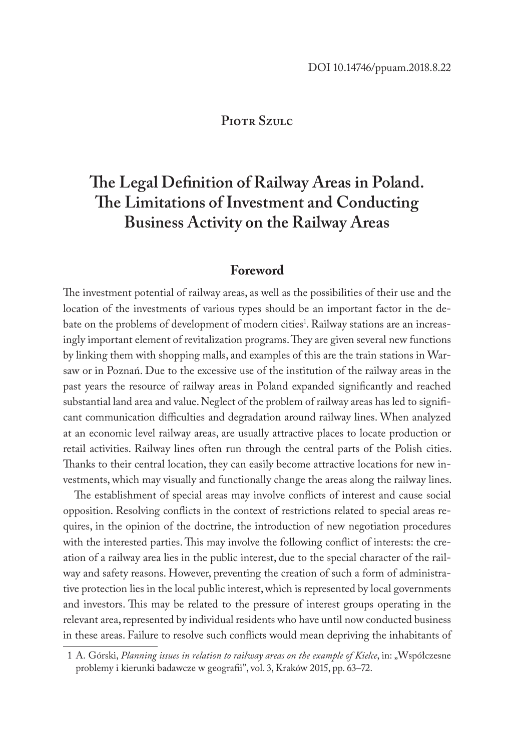#### **Piotr Szulc**

# **The Legal Definition of Railway Areas in Poland. The Limitations of Investment and Conducting Business Activity on the Railway Areas**

#### **Foreword**

The investment potential of railway areas, as well as the possibilities of their use and the location of the investments of various types should be an important factor in the debate on the problems of development of modern cities<sup>1</sup>. Railway stations are an increasingly important element of revitalization programs. They are given several new functions by linking them with shopping malls, and examples of this are the train stations in Warsaw or in Poznań. Due to the excessive use of the institution of the railway areas in the past years the resource of railway areas in Poland expanded significantly and reached substantial land area and value. Neglect of the problem of railway areas has led to significant communication difficulties and degradation around railway lines. When analyzed at an economic level railway areas, are usually attractive places to locate production or retail activities. Railway lines often run through the central parts of the Polish cities. Thanks to their central location, they can easily become attractive locations for new investments, which may visually and functionally change the areas along the railway lines.

The establishment of special areas may involve conflicts of interest and cause social opposition. Resolving conflicts in the context of restrictions related to special areas requires, in the opinion of the doctrine, the introduction of new negotiation procedures with the interested parties. This may involve the following conflict of interests: the creation of a railway area lies in the public interest, due to the special character of the railway and safety reasons. However, preventing the creation of such a form of administrative protection lies in the local public interest, which is represented by local governments and investors. This may be related to the pressure of interest groups operating in the relevant area, represented by individual residents who have until now conducted business in these areas. Failure to resolve such conflicts would mean depriving the inhabitants of

<sup>1</sup> A. Górski, Planning issues in relation to railway areas on the example of Kielce, in: "Współczesne problemy i kierunki badawcze w geografii", vol. 3, Kraków 2015, pp. 63–72.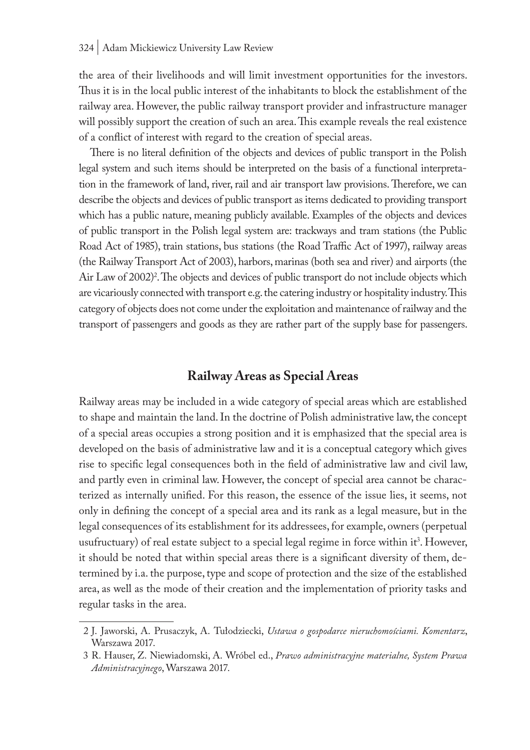#### 324 | Adam Mickiewicz University Law Review

the area of their livelihoods and will limit investment opportunities for the investors. Thus it is in the local public interest of the inhabitants to block the establishment of the railway area. However, the public railway transport provider and infrastructure manager will possibly support the creation of such an area. This example reveals the real existence of a conflict of interest with regard to the creation of special areas.

There is no literal definition of the objects and devices of public transport in the Polish legal system and such items should be interpreted on the basis of a functional interpretation in the framework of land, river, rail and air transport law provisions. Therefore, we can describe the objects and devices of public transport as items dedicated to providing transport which has a public nature, meaning publicly available. Examples of the objects and devices of public transport in the Polish legal system are: trackways and tram stations (the Public Road Act of 1985), train stations, bus stations (the Road Traffic Act of 1997), railway areas (the Railway Transport Act of 2003), harbors, marinas (both sea and river) and airports (the Air Law of 2002)<sup>2</sup>. The objects and devices of public transport do not include objects which are vicariously connected with transport e.g. the catering industry or hospitality industry. This category of objects does not come under the exploitation and maintenance of railway and the transport of passengers and goods as they are rather part of the supply base for passengers.

#### **Railway Areas as Special Areas**

Railway areas may be included in a wide category of special areas which are established to shape and maintain the land. In the doctrine of Polish administrative law, the concept of a special areas occupies a strong position and it is emphasized that the special area is developed on the basis of administrative law and it is a conceptual category which gives rise to specific legal consequences both in the field of administrative law and civil law, and partly even in criminal law. However, the concept of special area cannot be characterized as internally unified. For this reason, the essence of the issue lies, it seems, not only in defining the concept of a special area and its rank as a legal measure, but in the legal consequences of its establishment for its addressees, for example, owners (perpetual usufructuary) of real estate subject to a special legal regime in force within it $^3$ . However, it should be noted that within special areas there is a significant diversity of them, determined by i.a. the purpose, type and scope of protection and the size of the established area, as well as the mode of their creation and the implementation of priority tasks and regular tasks in the area.

<sup>2</sup> J. Jaworski, A. Prusaczyk, A. Tułodziecki, *Ustawa o gospodarce nieruchomościami. Komentarz*, Warszawa 2017.

<sup>3</sup> R. Hauser, Z. Niewiadomski, A. Wróbel ed., *Prawo administracyjne materialne, System Prawa Administracyjnego*, Warszawa 2017.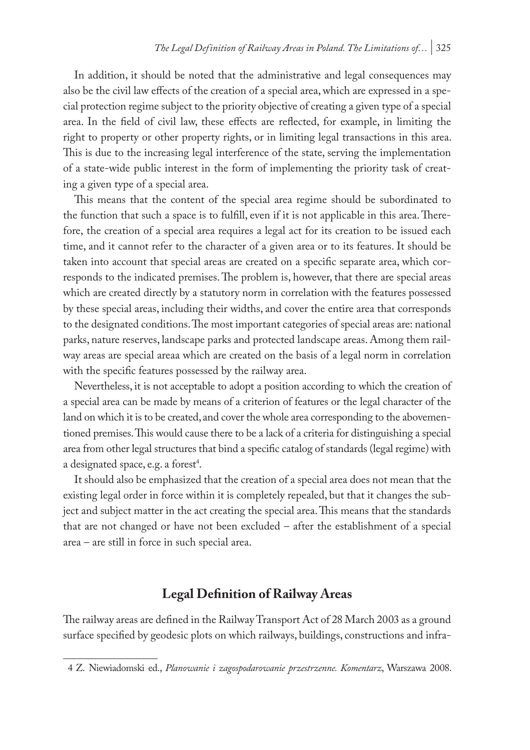In addition, it should be noted that the administrative and legal consequences may also be the civil law effects of the creation of a special area, which are expressed in a special protection regime subject to the priority objective of creating a given type of a special area. In the field of civil law, these effects are reflected, for example, in limiting the right to property or other property rights, or in limiting legal transactions in this area. This is due to the increasing legal interference of the state, serving the implementation of a state-wide public interest in the form of implementing the priority task of creating a given type of a special area.

This means that the content of the special area regime should be subordinated to the function that such a space is to fulfill, even if it is not applicable in this area. Therefore, the creation of a special area requires a legal act for its creation to be issued each time, and it cannot refer to the character of a given area or to its features. It should be taken into account that special areas are created on a specific separate area, which corresponds to the indicated premises. The problem is, however, that there are special areas which are created directly by a statutory norm in correlation with the features possessed by these special areas, including their widths, and cover the entire area that corresponds to the designated conditions. The most important categories of special areas are: national parks, nature reserves, landscape parks and protected landscape areas. Among them railway areas are special areaa which are created on the basis of a legal norm in correlation with the specific features possessed by the railway area.

Nevertheless, it is not acceptable to adopt a position according to which the creation of a special area can be made by means of a criterion of features or the legal character of the land on which it is to be created, and cover the whole area corresponding to the abovementioned premises. This would cause there to be a lack of a criteria for distinguishing a special area from other legal structures that bind a specific catalog of standards (legal regime) with a designated space, e.g. a forest<sup>4</sup>.

It should also be emphasized that the creation of a special area does not mean that the existing legal order in force within it is completely repealed, but that it changes the subject and subject matter in the act creating the special area. This means that the standards that are not changed or have not been excluded – after the establishment of a special area – are still in force in such special area.

## **Legal Definition of Railway Areas**

The railway areas are defined in the Railway Transport Act of 28 March 2003 as a ground surface specified by geodesic plots on which railways, buildings, constructions and infra-

<sup>4</sup> Z. Niewiadomski ed., *Planowanie i zagospodarowanie przestrzenne. Komentarz*, Warszawa 2008.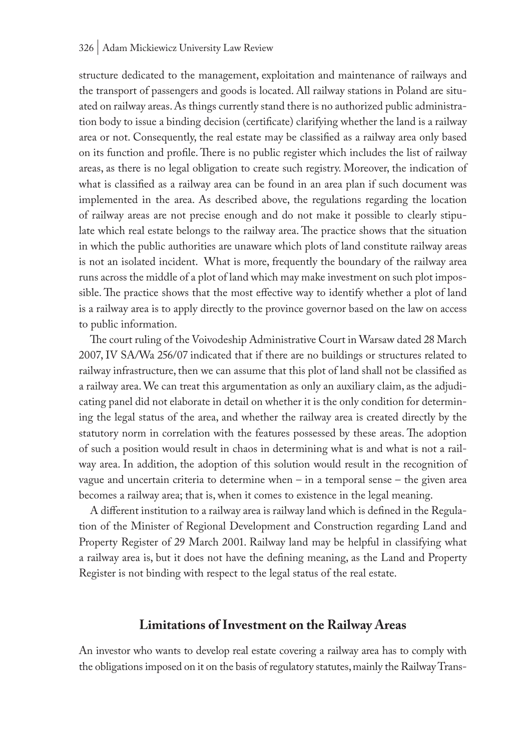structure dedicated to the management, exploitation and maintenance of railways and the transport of passengers and goods is located. All railway stations in Poland are situated on railway areas. As things currently stand there is no authorized public administration body to issue a binding decision (certificate) clarifying whether the land is a railway area or not. Consequently, the real estate may be classified as a railway area only based on its function and profile. There is no public register which includes the list of railway areas, as there is no legal obligation to create such registry. Moreover, the indication of what is classified as a railway area can be found in an area plan if such document was implemented in the area. As described above, the regulations regarding the location of railway areas are not precise enough and do not make it possible to clearly stipulate which real estate belongs to the railway area. The practice shows that the situation in which the public authorities are unaware which plots of land constitute railway areas is not an isolated incident. What is more, frequently the boundary of the railway area runs across the middle of a plot of land which may make investment on such plot impossible. The practice shows that the most effective way to identify whether a plot of land is a railway area is to apply directly to the province governor based on the law on access to public information.

The court ruling of the Voivodeship Administrative Court in Warsaw dated 28 March 2007, IV SA/Wa 256/07 indicated that if there are no buildings or structures related to railway infrastructure, then we can assume that this plot of land shall not be classified as a railway area. We can treat this argumentation as only an auxiliary claim, as the adjudicating panel did not elaborate in detail on whether it is the only condition for determining the legal status of the area, and whether the railway area is created directly by the statutory norm in correlation with the features possessed by these areas. The adoption of such a position would result in chaos in determining what is and what is not a railway area. In addition, the adoption of this solution would result in the recognition of vague and uncertain criteria to determine when – in a temporal sense – the given area becomes a railway area; that is, when it comes to existence in the legal meaning.

A different institution to a railway area is railway land which is defined in the Regulation of the Minister of Regional Development and Construction regarding Land and Property Register of 29 March 2001. Railway land may be helpful in classifying what a railway area is, but it does not have the defining meaning, as the Land and Property Register is not binding with respect to the legal status of the real estate.

#### **Limitations of Investment on the Railway Areas**

An investor who wants to develop real estate covering a railway area has to comply with the obligations imposed on it on the basis of regulatory statutes, mainly the Railway Trans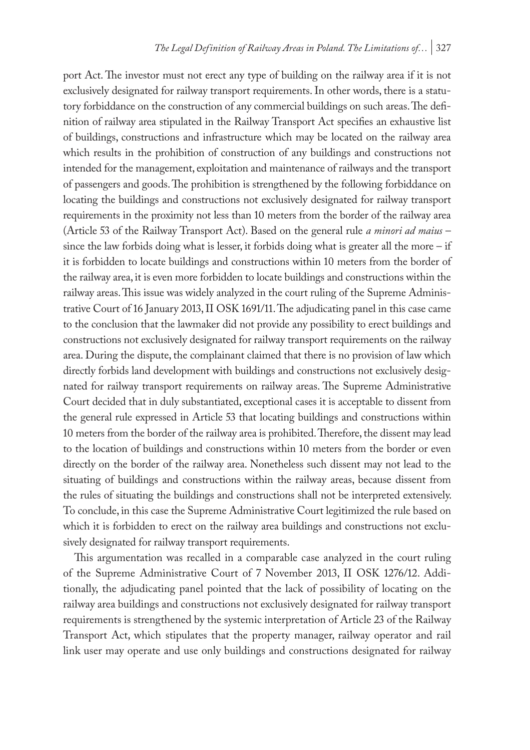port Act. The investor must not erect any type of building on the railway area if it is not exclusively designated for railway transport requirements. In other words, there is a statutory forbiddance on the construction of any commercial buildings on such areas. The definition of railway area stipulated in the Railway Transport Act specifies an exhaustive list of buildings, constructions and infrastructure which may be located on the railway area which results in the prohibition of construction of any buildings and constructions not intended for the management, exploitation and maintenance of railways and the transport of passengers and goods. The prohibition is strengthened by the following forbiddance on locating the buildings and constructions not exclusively designated for railway transport requirements in the proximity not less than 10 meters from the border of the railway area (Article 53 of the Railway Transport Act). Based on the general rule *a minori ad maius* – since the law forbids doing what is lesser, it forbids doing what is greater all the more – if it is forbidden to locate buildings and constructions within 10 meters from the border of the railway area, it is even more forbidden to locate buildings and constructions within the railway areas. This issue was widely analyzed in the court ruling of the Supreme Administrative Court of 16 January 2013, II OSK 1691/11. The adjudicating panel in this case came to the conclusion that the lawmaker did not provide any possibility to erect buildings and constructions not exclusively designated for railway transport requirements on the railway area. During the dispute, the complainant claimed that there is no provision of law which directly forbids land development with buildings and constructions not exclusively designated for railway transport requirements on railway areas. The Supreme Administrative Court decided that in duly substantiated, exceptional cases it is acceptable to dissent from the general rule expressed in Article 53 that locating buildings and constructions within 10 meters from the border of the railway area is prohibited. Therefore, the dissent may lead to the location of buildings and constructions within 10 meters from the border or even directly on the border of the railway area. Nonetheless such dissent may not lead to the situating of buildings and constructions within the railway areas, because dissent from the rules of situating the buildings and constructions shall not be interpreted extensively. To conclude, in this case the Supreme Administrative Court legitimized the rule based on which it is forbidden to erect on the railway area buildings and constructions not exclusively designated for railway transport requirements.

This argumentation was recalled in a comparable case analyzed in the court ruling of the Supreme Administrative Court of 7 November 2013, II OSK 1276/12. Additionally, the adjudicating panel pointed that the lack of possibility of locating on the railway area buildings and constructions not exclusively designated for railway transport requirements is strengthened by the systemic interpretation of Article 23 of the Railway Transport Act, which stipulates that the property manager, railway operator and rail link user may operate and use only buildings and constructions designated for railway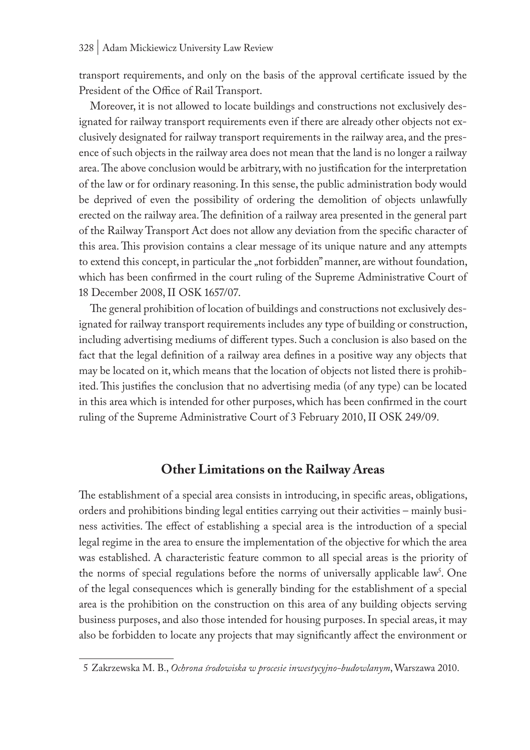transport requirements, and only on the basis of the approval certificate issued by the President of the Office of Rail Transport.

Moreover, it is not allowed to locate buildings and constructions not exclusively designated for railway transport requirements even if there are already other objects not exclusively designated for railway transport requirements in the railway area, and the presence of such objects in the railway area does not mean that the land is no longer a railway area.The above conclusion would be arbitrary, with no justification for the interpretation of the law or for ordinary reasoning. In this sense, the public administration body would be deprived of even the possibility of ordering the demolition of objects unlawfully erected on the railway area. The definition of a railway area presented in the general part of the Railway Transport Act does not allow any deviation from the specific character of this area. This provision contains a clear message of its unique nature and any attempts to extend this concept, in particular the "not forbidden" manner, are without foundation, which has been confirmed in the court ruling of the Supreme Administrative Court of 18 December 2008, II OSK 1657/07.

The general prohibition of location of buildings and constructions not exclusively designated for railway transport requirements includes any type of building or construction, including advertising mediums of different types. Such a conclusion is also based on the fact that the legal definition of a railway area defines in a positive way any objects that may be located on it, which means that the location of objects not listed there is prohibited. This justifies the conclusion that no advertising media (of any type) can be located in this area which is intended for other purposes, which has been confirmed in the court ruling of the Supreme Administrative Court of 3 February 2010, II OSK 249/09.

#### **Other Limitations on the Railway Areas**

The establishment of a special area consists in introducing, in specific areas, obligations, orders and prohibitions binding legal entities carrying out their activities – mainly business activities. The effect of establishing a special area is the introduction of a special legal regime in the area to ensure the implementation of the objective for which the area was established. A characteristic feature common to all special areas is the priority of the norms of special regulations before the norms of universally applicable law<sup>5</sup>. One of the legal consequences which is generally binding for the establishment of a special area is the prohibition on the construction on this area of any building objects serving business purposes, and also those intended for housing purposes. In special areas, it may also be forbidden to locate any projects that may significantly affect the environment or

<sup>5</sup> Zakrzewska M. B., *Ochrona środowiska w procesie inwestycyjno-budowlanym*, Warszawa 2010.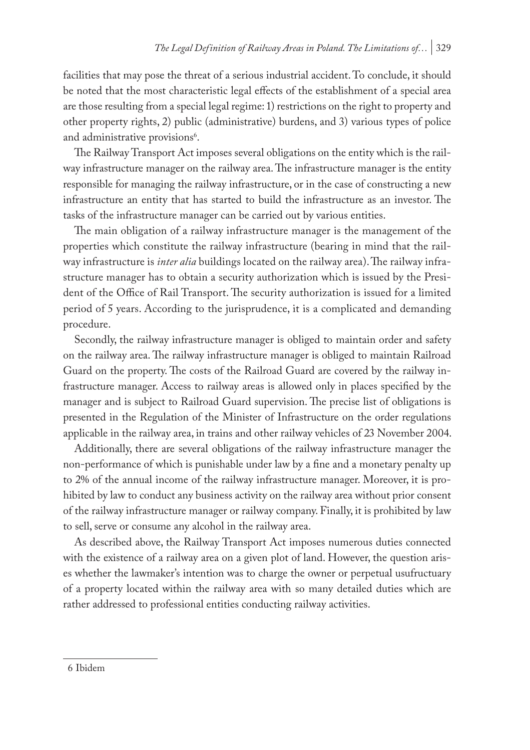facilities that may pose the threat of a serious industrial accident. To conclude, it should be noted that the most characteristic legal effects of the establishment of a special area are those resulting from a special legal regime: 1) restrictions on the right to property and other property rights, 2) public (administrative) burdens, and 3) various types of police and administrative provisions<sup>6</sup>.

The Railway Transport Act imposes several obligations on the entity which is the railway infrastructure manager on the railway area. The infrastructure manager is the entity responsible for managing the railway infrastructure, or in the case of constructing a new infrastructure an entity that has started to build the infrastructure as an investor. The tasks of the infrastructure manager can be carried out by various entities.

The main obligation of a railway infrastructure manager is the management of the properties which constitute the railway infrastructure (bearing in mind that the railway infrastructure is *inter alia* buildings located on the railway area). The railway infrastructure manager has to obtain a security authorization which is issued by the President of the Office of Rail Transport. The security authorization is issued for a limited period of 5 years. According to the jurisprudence, it is a complicated and demanding procedure.

Secondly, the railway infrastructure manager is obliged to maintain order and safety on the railway area. The railway infrastructure manager is obliged to maintain Railroad Guard on the property. The costs of the Railroad Guard are covered by the railway infrastructure manager. Access to railway areas is allowed only in places specified by the manager and is subject to Railroad Guard supervision. The precise list of obligations is presented in the Regulation of the Minister of Infrastructure on the order regulations applicable in the railway area, in trains and other railway vehicles of 23 November 2004.

Additionally, there are several obligations of the railway infrastructure manager the non-performance of which is punishable under law by a fine and a monetary penalty up to 2% of the annual income of the railway infrastructure manager. Moreover, it is prohibited by law to conduct any business activity on the railway area without prior consent of the railway infrastructure manager or railway company. Finally, it is prohibited by law to sell, serve or consume any alcohol in the railway area.

As described above, the Railway Transport Act imposes numerous duties connected with the existence of a railway area on a given plot of land. However, the question arises whether the lawmaker's intention was to charge the owner or perpetual usufructuary of a property located within the railway area with so many detailed duties which are rather addressed to professional entities conducting railway activities.

<sup>6</sup> Ibidem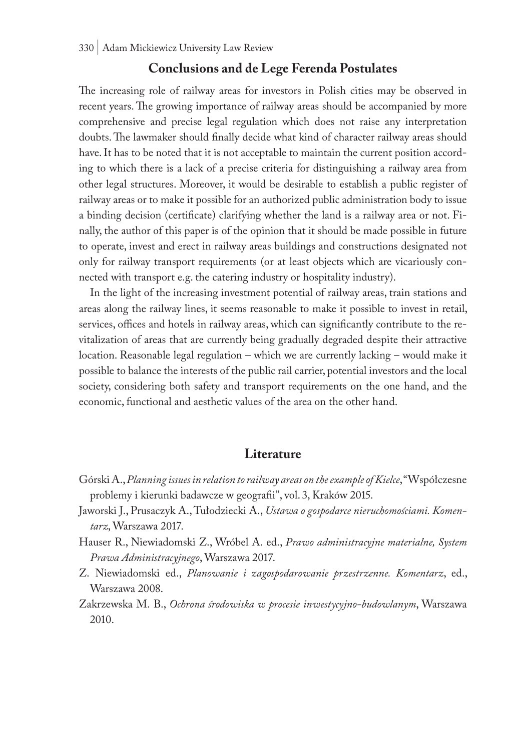#### **Conclusions and de Lege Ferenda Postulates**

The increasing role of railway areas for investors in Polish cities may be observed in recent years. The growing importance of railway areas should be accompanied by more comprehensive and precise legal regulation which does not raise any interpretation doubts. The lawmaker should finally decide what kind of character railway areas should have. It has to be noted that it is not acceptable to maintain the current position according to which there is a lack of a precise criteria for distinguishing a railway area from other legal structures. Moreover, it would be desirable to establish a public register of railway areas or to make it possible for an authorized public administration body to issue a binding decision (certificate) clarifying whether the land is a railway area or not. Finally, the author of this paper is of the opinion that it should be made possible in future to operate, invest and erect in railway areas buildings and constructions designated not only for railway transport requirements (or at least objects which are vicariously connected with transport e.g. the catering industry or hospitality industry).

In the light of the increasing investment potential of railway areas, train stations and areas along the railway lines, it seems reasonable to make it possible to invest in retail, services, offices and hotels in railway areas, which can significantly contribute to the revitalization of areas that are currently being gradually degraded despite their attractive location. Reasonable legal regulation – which we are currently lacking – would make it possible to balance the interests of the public rail carrier, potential investors and the local society, considering both safety and transport requirements on the one hand, and the economic, functional and aesthetic values of the area on the other hand.

#### **Literature**

- Górski A., *Planning issues in relation to railway areas on the example of Kielce*, "Współczesne problemy i kierunki badawcze w geografii", vol. 3, Kraków 2015.
- Jaworski J., Prusaczyk A., Tułodziecki A., *Ustawa o gospodarce nieruchomościami. Komentarz*, Warszawa 2017.
- Hauser R., Niewiadomski Z., Wróbel A. ed., *Prawo administracyjne materialne, System Prawa Administracyjnego*, Warszawa 2017.
- Z. Niewiadomski ed., *Planowanie i zagospodarowanie przestrzenne. Komentarz*, ed., Warszawa 2008.
- Zakrzewska M. B., *Ochrona środowiska w procesie inwestycyjno-budowlanym*, Warszawa 2010.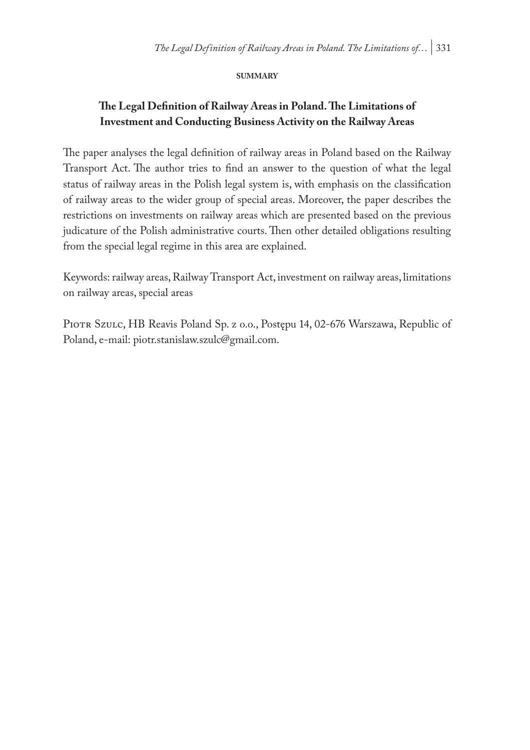#### **summary**

### **The Legal Definition of Railway Areas in Poland. The Limitations of Investment and Conducting Business Activity on the Railway Areas**

The paper analyses the legal definition of railway areas in Poland based on the Railway Transport Act. The author tries to find an answer to the question of what the legal status of railway areas in the Polish legal system is, with emphasis on the classification of railway areas to the wider group of special areas. Moreover, the paper describes the restrictions on investments on railway areas which are presented based on the previous judicature of the Polish administrative courts. Then other detailed obligations resulting from the special legal regime in this area are explained.

Keywords: railway areas, Railway Transport Act, investment on railway areas, limitations on railway areas, special areas

PIOTR SZULC, HB Reavis Poland Sp. z o.o., Postępu 14, 02-676 Warszawa, Republic of Poland, e-mail: piotr.stanislaw.szulc@gmail.com.